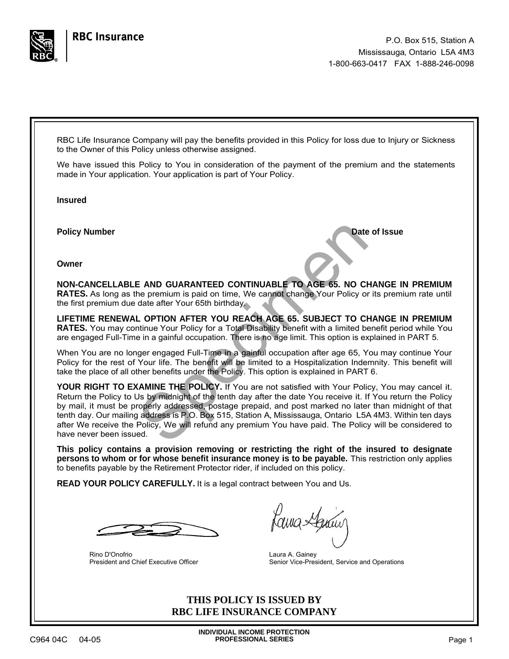

<span id="page-0-2"></span><span id="page-0-1"></span><span id="page-0-0"></span>RBC Life Insurance Company will pay the benefits provided in this Policy for loss due to Injury or Sickness to the Owner of this Policy unless otherwise assigned.

We have issued this Policy to You in consideration of the payment of the premium and the statements made in Your application. Your application is part of Your Policy.

**Insured**

**Policy Number Date of Issue** 

**Owner**

**NON-CANCELLABLE AND GUARANTEED CONTINUABLE TO AGE 65. NO CHANGE IN PREMIUM RATES.** As long as the premium is paid on time, We cannot change Your Policy or its premium rate until the first premium due date after Your 65th birthday.

**LIFETIME RENEWAL OPTION AFTER YOU REACH AGE 65. SUBJECT TO CHANGE IN PREMIUM RATES.** You may continue Your Policy for a Total Disability benefit with a limited benefit period while You are engaged Full-Time in a gainful occupation. There is no age limit. This option is explained in PART 5.

When You are no longer engaged Full-Time in a gainful occupation after age 65, You may continue Your Policy for the rest of Your life. The benefit will be limited to a Hospitalization Indemnity. This benefit will take the place of all other benefits under the Policy. This option is explained in PART 6.

**E AND GUARANTEED CONTINUABLE TO AGE 65. NO CHEMPT CONTINUABLE TO AGE 65. NO CHEMPT TO A CHEMPT CONTINUABLE TO AGE 65. NO CHEMPT CONTINUARY LOPTION AFTER YOU REACH AGE 65. SUBJECT TO CHEMPT CONTINUATE TO A TO A TO A TO A T YOUR RIGHT TO EXAMINE THE POLICY.** If You are not satisfied with Your Policy, You may cancel it. Return the Policy to Us by midnight of the tenth day after the date You receive it. If You return the Policy by mail, it must be properly addressed, postage prepaid, and post marked no later than midnight of that tenth day. Our mailing address is P.O. Box 515, Station A, Mississauga, Ontario L5A 4M3. Within ten days after We receive the Policy, We will refund any premium You have paid. The Policy will be considered to have never been issued.

**This policy contains a provision removing or restricting the right of the insured to designate persons to whom or for whose benefit insurance money is to be payable.** This restriction only applies to benefits payable by the Retirement Protector rider, if included on this policy.

**READ YOUR POLICY CAREFULLY.** It is a legal contract between You and Us.

Rino D'Onofrio President and Chief Executive Officer

Kama Stemur

Laura A. Gainey Senior Vice-President, Service and Operations

**THIS POLICY IS ISSUED BY RBC LIFE INSURANCE COMPANY**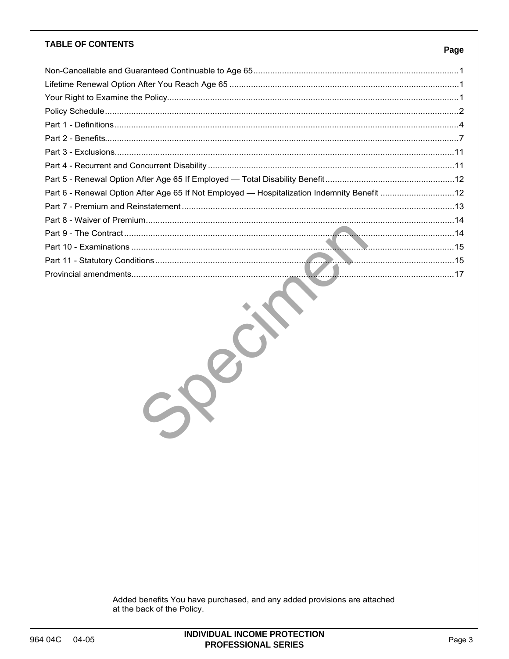### **TABLE OF CONTENTS**

## Page

| Part 6 - Renewal Option After Age 65 If Not Employed — Hospitalization Indemnity Benefit 12 |  |
|---------------------------------------------------------------------------------------------|--|
|                                                                                             |  |
|                                                                                             |  |
|                                                                                             |  |
|                                                                                             |  |
|                                                                                             |  |
|                                                                                             |  |
|                                                                                             |  |

Seit

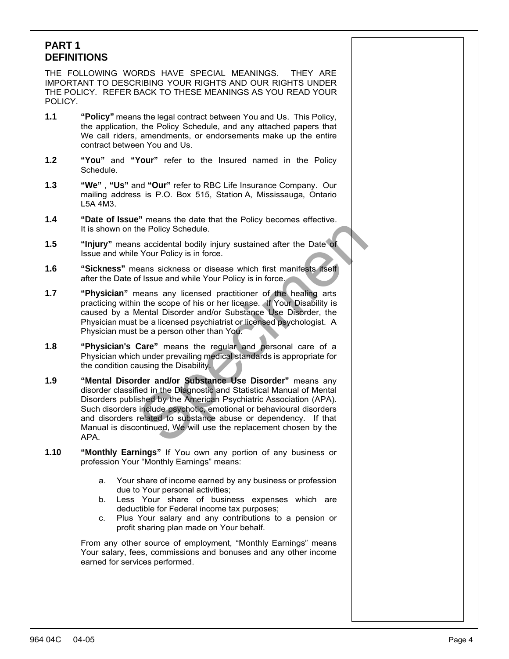# <span id="page-2-0"></span>**PART 1 DEFINITIONS**

THE FOLLOWING WORDS HAVE SPECIAL MEANINGS. THEY ARE IMPORTANT TO DESCRIBING YOUR RIGHTS AND OUR RIGHTS UNDER THE POLICY. REFER BACK TO THESE MEANINGS AS YOU READ YOUR POLICY.

- **1.1 "Policy"** means the legal contract between You and Us. This Policy, the application, the Policy Schedule, and any attached papers that We call riders, amendments, or endorsements make up the entire contract between You and Us.
- **1.2 "You"** and **"Your"** refer to the Insured named in the Policy Schedule.
- **1.3 "We"** , **"Us"** and **"Our"** refer to RBC Life Insurance Company. Our mailing address is P.O. Box 515, Station A, Mississauga, Ontario L5A 4M3.
- **1.4 "Date of Issue"** means the date that the Policy becomes effective. It is shown on the Policy Schedule.
- **1.5 "Injury"** means accidental bodily injury sustained after the Date of Issue and while Your Policy is in force.
- **1.6 "Sickness"** means sickness or disease which first manifests itself after the Date of Issue and while Your Policy is in force.
- **1.7 "Physician"** means any licensed practitioner of the healing arts practicing within the scope of his or her license. If Your Disability is caused by a Mental Disorder and/or Substance Use Disorder, the Physician must be a licensed psychiatrist or licensed psychologist. A Physician must be a person other than You.
- **1.8 "Physician's Care"** means the regular and personal care of a Physician which under prevailing medical standards is appropriate for the condition causing the Disability.
- The Policy Schedule.<br>
Secretarial bodily injury sustained after the Date of<br>
Your Policy is in force.<br>
eans sickness or disease which first manifests itself<br>
of Issue and while Your Policy is in force.<br>
neans any licensed **1.9 "Mental Disorder and/or Substance Use Disorder"** means any disorder classified in the Diagnostic and Statistical Manual of Mental Disorders published by the American Psychiatric Association (APA). Such disorders include psychotic, emotional or behavioural disorders and disorders related to substance abuse or dependency. If that Manual is discontinued, We will use the replacement chosen by the APA.
- **1.10 "Monthly Earnings"** If You own any portion of any business or profession Your "Monthly Earnings" means:
	- a. Your share of income earned by any business or profession due to Your personal activities;
	- b. Less Your share of business expenses which are deductible for Federal income tax purposes;
	- c. Plus Your salary and any contributions to a pension or profit sharing plan made on Your behalf.

From any other source of employment, "Monthly Earnings" means Your salary, fees, commissions and bonuses and any other income earned for services performed.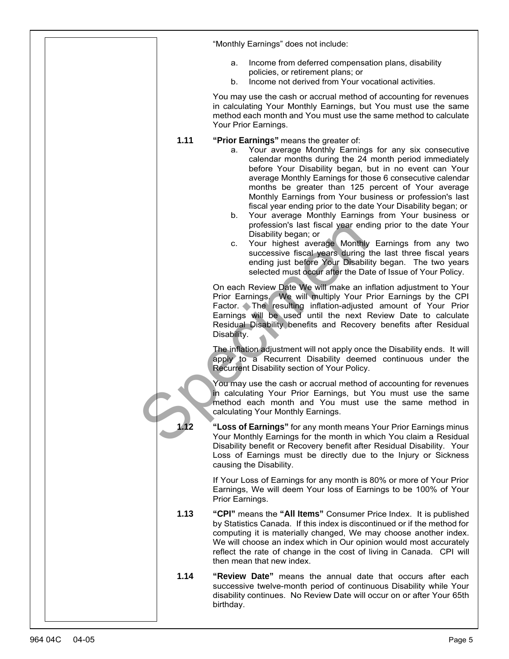|      | "Monthly Earnings" does not include:                                                                                                                                                                                                                                                                                                                                                                                                                                                                                                                                                                                                                                                                                                                                                                                                                                               |
|------|------------------------------------------------------------------------------------------------------------------------------------------------------------------------------------------------------------------------------------------------------------------------------------------------------------------------------------------------------------------------------------------------------------------------------------------------------------------------------------------------------------------------------------------------------------------------------------------------------------------------------------------------------------------------------------------------------------------------------------------------------------------------------------------------------------------------------------------------------------------------------------|
|      | Income from deferred compensation plans, disability<br>а.<br>policies, or retirement plans; or<br>Income not derived from Your vocational activities.<br>b.                                                                                                                                                                                                                                                                                                                                                                                                                                                                                                                                                                                                                                                                                                                        |
|      | You may use the cash or accrual method of accounting for revenues<br>in calculating Your Monthly Earnings, but You must use the same<br>method each month and You must use the same method to calculate<br>Your Prior Earnings.                                                                                                                                                                                                                                                                                                                                                                                                                                                                                                                                                                                                                                                    |
| 1.11 | "Prior Earnings" means the greater of:<br>Your average Monthly Earnings for any six consecutive<br>а.<br>calendar months during the 24 month period immediately<br>before Your Disability began, but in no event can Your<br>average Monthly Earnings for those 6 consecutive calendar<br>months be greater than 125 percent of Your average<br>Monthly Earnings from Your business or profession's last<br>fiscal year ending prior to the date Your Disability began; or<br>Your average Monthly Earnings from Your business or<br>b.<br>profession's last fiscal year ending prior to the date Your<br>Disability began; or<br>Your highest average Monthly Earnings from any two<br>C.<br>successive fiscal years during the last three fiscal years<br>ending just before Your Disability began. The two years<br>selected must occur after the Date of Issue of Your Policy. |
|      | On each Review Date We will make an inflation adjustment to Your<br>Prior Earnings. We will multiply Your Prior Earnings by the CPI<br>Factor. The resulting inflation-adjusted amount of Your Prior<br>Earnings will be used until the next Review Date to calculate<br>Residual Disability benefits and Recovery benefits after Residual<br>Disability.                                                                                                                                                                                                                                                                                                                                                                                                                                                                                                                          |
|      | The inflation adjustment will not apply once the Disability ends. It will<br>apply to a Recurrent Disability deemed continuous under the<br>Recurrent Disability section of Your Policy.                                                                                                                                                                                                                                                                                                                                                                                                                                                                                                                                                                                                                                                                                           |
|      | You may use the cash or accrual method of accounting for revenues<br>in calculating Your Prior Earnings, but You must use the same<br>method each month and You must use the same method in<br>calculating Your Monthly Earnings.                                                                                                                                                                                                                                                                                                                                                                                                                                                                                                                                                                                                                                                  |
|      | "Loss of Earnings" for any month means Your Prior Earnings minus<br>Your Monthly Earnings for the month in which You claim a Residual<br>Disability benefit or Recovery benefit after Residual Disability. Your<br>Loss of Earnings must be directly due to the Injury or Sickness<br>causing the Disability.                                                                                                                                                                                                                                                                                                                                                                                                                                                                                                                                                                      |
|      | If Your Loss of Earnings for any month is 80% or more of Your Prior<br>Earnings, We will deem Your loss of Earnings to be 100% of Your<br>Prior Earnings.                                                                                                                                                                                                                                                                                                                                                                                                                                                                                                                                                                                                                                                                                                                          |
| 1.13 | "CPI" means the "All Items" Consumer Price Index. It is published<br>by Statistics Canada. If this index is discontinued or if the method for<br>computing it is materially changed, We may choose another index.<br>We will choose an index which in Our opinion would most accurately<br>reflect the rate of change in the cost of living in Canada. CPI will<br>then mean that new index.                                                                                                                                                                                                                                                                                                                                                                                                                                                                                       |
| 1.14 | "Review Date" means the annual date that occurs after each<br>successive twelve-month period of continuous Disability while Your<br>disability continues. No Review Date will occur on or after Your 65th<br>birthday.                                                                                                                                                                                                                                                                                                                                                                                                                                                                                                                                                                                                                                                             |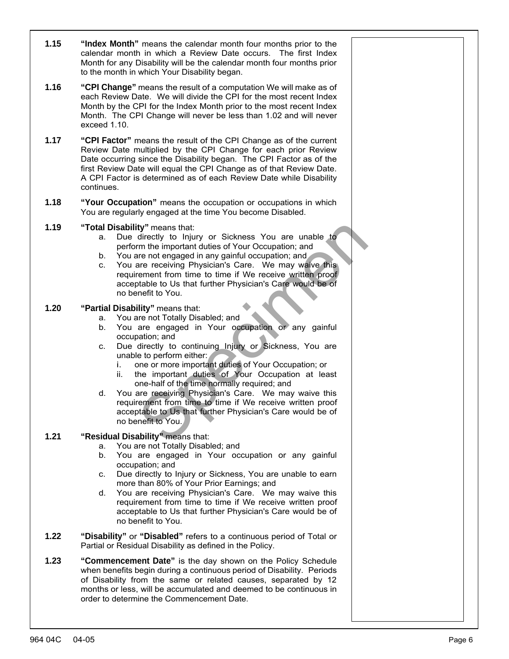- **1.15 "Index Month"** means the calendar month four months prior to the calendar month in which a Review Date occurs. The first Index Month for any Disability will be the calendar month four months prior to the month in which Your Disability began.
- **1.16 "CPI Change"** means the result of a computation We will make as of each Review Date. We will divide the CPI for the most recent Index Month by the CPI for the Index Month prior to the most recent Index Month. The CPI Change will never be less than 1.02 and will never exceed 1.10.
- **1.17 "CPI Factor"** means the result of the CPI Change as of the current Review Date multiplied by the CPI Change for each prior Review Date occurring since the Disability began. The CPI Factor as of the first Review Date will equal the CPI Change as of that Review Date. A CPI Factor is determined as of each Review Date while Disability continues.
- **1.18 "Your Occupation"** means the occupation or occupations in which You are regularly engaged at the time You become Disabled.
- **1.19 "Total Disability"** means that:
	- a. Due directly to Injury or Sickness You are unable to perform the important duties of Your Occupation; and
	- b. You are not engaged in any gainful occupation; and
	- ty" means that:<br>
	directly to Injury or Sickness You are unable to<br>
	mm the important duties of Your Occupation; and<br>
	are not engaged in any gainful occupation; and<br>
	are not engaged in any gainful occupation; and<br>
	are receiv c. You are receiving Physician's Care. We may waive this requirement from time to time if We receive written proof acceptable to Us that further Physician's Care would be of no benefit to You.

### **1.20 "Partial Disability"** means that:

- a. You are not Totally Disabled; and
- b. You are engaged in Your occupation or any gainful occupation; and
- c. Due directly to continuing Injury or Sickness, You are unable to perform either:
	- i. one or more important duties of Your Occupation; or
	- ii. the important duties of Your Occupation at least one-half of the time normally required; and
- d. You are receiving Physician's Care. We may waive this requirement from time to time if We receive written proof acceptable to Us that further Physician's Care would be of no benefit to You.

## **1.21 "Residual Disability"** means that:

- a. You are not Totally Disabled; and
- b. You are engaged in Your occupation or any gainful occupation; and
- c. Due directly to Injury or Sickness, You are unable to earn more than 80% of Your Prior Earnings; and
- d. You are receiving Physician's Care. We may waive this requirement from time to time if We receive written proof acceptable to Us that further Physician's Care would be of no benefit to You.
- **1.22 "Disability"** or **"Disabled"** refers to a continuous period of Total or Partial or Residual Disability as defined in the Policy.
- **1.23 "Commencement Date"** is the day shown on the Policy Schedule when benefits begin during a continuous period of Disability. Periods of Disability from the same or related causes, separated by 12 months or less, will be accumulated and deemed to be continuous in order to determine the Commencement Date.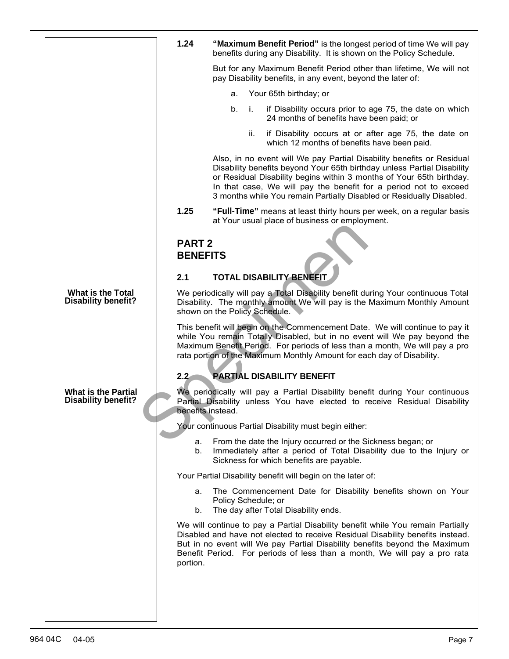<span id="page-5-0"></span>

|                                                          | 1.24<br>"Maximum Benefit Period" is the longest period of time We will pay<br>benefits during any Disability. It is shown on the Policy Schedule.                                                                                                                                                                                                                    |  |
|----------------------------------------------------------|----------------------------------------------------------------------------------------------------------------------------------------------------------------------------------------------------------------------------------------------------------------------------------------------------------------------------------------------------------------------|--|
|                                                          | But for any Maximum Benefit Period other than lifetime, We will not<br>pay Disability benefits, in any event, beyond the later of:                                                                                                                                                                                                                                   |  |
|                                                          | Your 65th birthday; or<br>а.                                                                                                                                                                                                                                                                                                                                         |  |
|                                                          | if Disability occurs prior to age 75, the date on which<br>b.<br>- i.<br>24 months of benefits have been paid; or                                                                                                                                                                                                                                                    |  |
|                                                          | ii.<br>if Disability occurs at or after age 75, the date on<br>which 12 months of benefits have been paid.                                                                                                                                                                                                                                                           |  |
|                                                          | Also, in no event will We pay Partial Disability benefits or Residual<br>Disability benefits beyond Your 65th birthday unless Partial Disability<br>or Residual Disability begins within 3 months of Your 65th birthday.<br>In that case, We will pay the benefit for a period not to exceed<br>3 months while You remain Partially Disabled or Residually Disabled. |  |
|                                                          | 1.25<br>"Full-Time" means at least thirty hours per week, on a regular basis<br>at Your usual place of business or employment.                                                                                                                                                                                                                                       |  |
|                                                          |                                                                                                                                                                                                                                                                                                                                                                      |  |
|                                                          | <b>PART 2</b><br><b>BENEFITS</b>                                                                                                                                                                                                                                                                                                                                     |  |
|                                                          |                                                                                                                                                                                                                                                                                                                                                                      |  |
|                                                          | <b>TOTAL DISABILITY BENEFIT</b><br>2.1                                                                                                                                                                                                                                                                                                                               |  |
| What is the Total<br><b>Disability benefit?</b>          | We periodically will pay a Total Disability benefit during Your continuous Total<br>Disability. The monthly amount We will pay is the Maximum Monthly Amount<br>shown on the Policy Schedule.                                                                                                                                                                        |  |
|                                                          | This benefit will begin on the Commencement Date. We will continue to pay it<br>while You remain Totally Disabled, but in no event will We pay beyond the<br>Maximum Benefit Period. For periods of less than a month, We will pay a pro<br>rata portion of the Maximum Monthly Amount for each day of Disability.                                                   |  |
|                                                          | <b>PARTIAL DISABILITY BENEFIT</b><br>$2.2^{\circ}$                                                                                                                                                                                                                                                                                                                   |  |
| <b>What is the Partial</b><br><b>Disability benefit?</b> | We periodically will pay a Partial Disability benefit during Your continuous<br>Partial Disability unless You have elected to receive Residual Disability<br>benefits instead.                                                                                                                                                                                       |  |
|                                                          | Your continuous Partial Disability must begin either:                                                                                                                                                                                                                                                                                                                |  |
|                                                          | From the date the Injury occurred or the Sickness began; or<br>а.<br>Immediately after a period of Total Disability due to the Injury or<br>b.<br>Sickness for which benefits are payable.                                                                                                                                                                           |  |
|                                                          | Your Partial Disability benefit will begin on the later of:                                                                                                                                                                                                                                                                                                          |  |
|                                                          | The Commencement Date for Disability benefits shown on Your<br>а.                                                                                                                                                                                                                                                                                                    |  |
|                                                          | Policy Schedule; or<br>The day after Total Disability ends.<br>b.                                                                                                                                                                                                                                                                                                    |  |
|                                                          | We will continue to pay a Partial Disability benefit while You remain Partially<br>Disabled and have not elected to receive Residual Disability benefits instead.<br>But in no event will We pay Partial Disability benefits beyond the Maximum<br>Benefit Period. For periods of less than a month, We will pay a pro rata<br>portion.                              |  |
|                                                          |                                                                                                                                                                                                                                                                                                                                                                      |  |
|                                                          |                                                                                                                                                                                                                                                                                                                                                                      |  |
|                                                          |                                                                                                                                                                                                                                                                                                                                                                      |  |
|                                                          |                                                                                                                                                                                                                                                                                                                                                                      |  |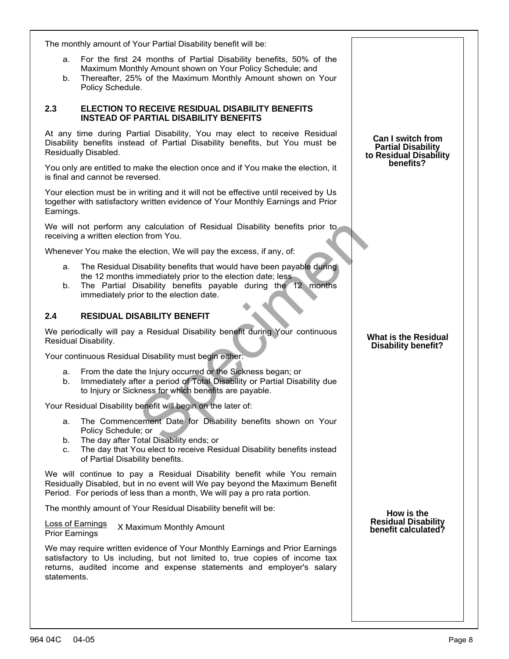| The monthly amount of Your Partial Disability benefit will be:                                                                                                                                                                                               |                                                                                 |
|--------------------------------------------------------------------------------------------------------------------------------------------------------------------------------------------------------------------------------------------------------------|---------------------------------------------------------------------------------|
| For the first 24 months of Partial Disability benefits, 50% of the<br>a.<br>Maximum Monthly Amount shown on Your Policy Schedule; and<br>Thereafter, 25% of the Maximum Monthly Amount shown on Your<br>b.<br>Policy Schedule.                               |                                                                                 |
| 2.3<br>ELECTION TO RECEIVE RESIDUAL DISABILITY BENEFITS<br><b>INSTEAD OF PARTIAL DISABILITY BENEFITS</b>                                                                                                                                                     |                                                                                 |
| At any time during Partial Disability, You may elect to receive Residual<br>Disability benefits instead of Partial Disability benefits, but You must be<br>Residually Disabled.                                                                              | <b>Can I switch from</b><br><b>Partial Disability</b><br>to Residual Disability |
| You only are entitled to make the election once and if You make the election, it<br>is final and cannot be reversed.                                                                                                                                         | benefits?                                                                       |
| Your election must be in writing and it will not be effective until received by Us<br>together with satisfactory written evidence of Your Monthly Earnings and Prior<br>Earnings.                                                                            |                                                                                 |
| We will not perform any calculation of Residual Disability benefits prior to<br>receiving a written election from You.                                                                                                                                       |                                                                                 |
| Whenever You make the election, We will pay the excess, if any, of:                                                                                                                                                                                          |                                                                                 |
| The Residual Disability benefits that would have been payable during<br>a.<br>the 12 months immediately prior to the election date; less<br>The Partial Disability benefits payable during the 12 months<br>b.<br>immediately prior to the election date.    |                                                                                 |
| 2.4<br><b>RESIDUAL DISABILITY BENEFIT</b>                                                                                                                                                                                                                    |                                                                                 |
| We periodically will pay a Residual Disability benefit during Your continuous<br>Residual Disability.                                                                                                                                                        | <b>What is the Residual</b><br><b>Disability benefit?</b>                       |
| Your continuous Residual Disability must begin either:                                                                                                                                                                                                       |                                                                                 |
| From the date the Injury occurred or the Sickness began; or<br>a.<br>Immediately after a period of Total Disability or Partial Disability due<br>b.<br>to Injury or Sickness for which benefits are payable.                                                 |                                                                                 |
| Your Residual Disability benefit will begin on the later of:                                                                                                                                                                                                 |                                                                                 |
| The Commencement Date for Disability benefits shown on Your<br>а.<br>Policy Schedule; or<br>The day after Total Disability ends; or<br>b.<br>The day that You elect to receive Residual Disability benefits instead<br>C.<br>of Partial Disability benefits. |                                                                                 |
| We will continue to pay a Residual Disability benefit while You remain<br>Residually Disabled, but in no event will We pay beyond the Maximum Benefit<br>Period. For periods of less than a month, We will pay a pro rata portion.                           |                                                                                 |
| The monthly amount of Your Residual Disability benefit will be:                                                                                                                                                                                              | How is the                                                                      |
| <b>Loss of Earnings</b><br>X Maximum Monthly Amount<br><b>Prior Earnings</b>                                                                                                                                                                                 | <b>Residual Disability</b><br>benefit calculated?                               |
| We may require written evidence of Your Monthly Earnings and Prior Earnings<br>satisfactory to Us including, but not limited to, true copies of income tax<br>returns, audited income and expense statements and employer's salary<br>statements.            |                                                                                 |
|                                                                                                                                                                                                                                                              |                                                                                 |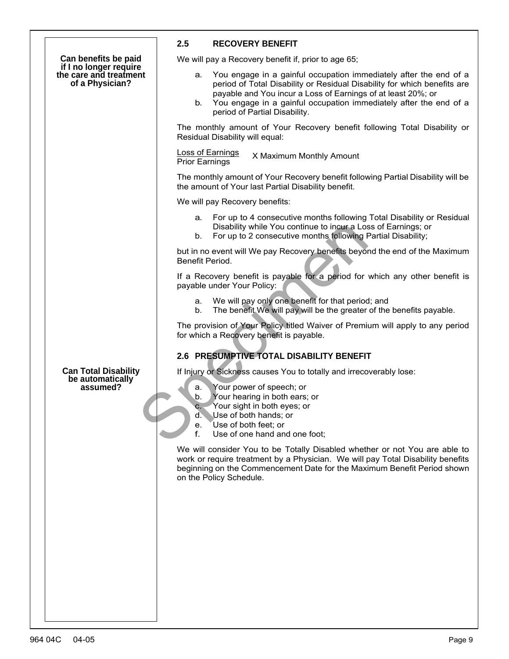|                                                                                             | 2.5                              | <b>RECOVERY BENEFIT</b>                                                                                                                                                                                                                                                                                             |
|---------------------------------------------------------------------------------------------|----------------------------------|---------------------------------------------------------------------------------------------------------------------------------------------------------------------------------------------------------------------------------------------------------------------------------------------------------------------|
| Can benefits be paid<br>if I no longer require<br>the care and treatment<br>of a Physician? |                                  | We will pay a Recovery benefit if, prior to age 65;                                                                                                                                                                                                                                                                 |
|                                                                                             | а.<br>b.                         | You engage in a gainful occupation immediately after the end of a<br>period of Total Disability or Residual Disability for which benefits are<br>payable and You incur a Loss of Earnings of at least 20%; or<br>You engage in a gainful occupation immediately after the end of a<br>period of Partial Disability. |
|                                                                                             |                                  | The monthly amount of Your Recovery benefit following Total Disability or<br>Residual Disability will equal:                                                                                                                                                                                                        |
|                                                                                             | <b>Prior Earnings</b>            | <b>Loss of Earnings</b><br>X Maximum Monthly Amount                                                                                                                                                                                                                                                                 |
|                                                                                             |                                  | The monthly amount of Your Recovery benefit following Partial Disability will be<br>the amount of Your last Partial Disability benefit.                                                                                                                                                                             |
|                                                                                             |                                  | We will pay Recovery benefits:                                                                                                                                                                                                                                                                                      |
|                                                                                             | а.<br>b.                         | For up to 4 consecutive months following Total Disability or Residual<br>Disability while You continue to incur a Loss of Earnings; or<br>For up to 2 consecutive months following Partial Disability;                                                                                                              |
|                                                                                             |                                  | but in no event will We pay Recovery benefits beyond the end of the Maximum<br>Benefit Period.                                                                                                                                                                                                                      |
|                                                                                             |                                  | If a Recovery benefit is payable for a period for which any other benefit is<br>payable under Your Policy:                                                                                                                                                                                                          |
|                                                                                             | a.<br>b.                         | We will pay only one benefit for that period; and<br>The benefit We will pay will be the greater of the benefits payable.                                                                                                                                                                                           |
|                                                                                             |                                  | The provision of Your Policy titled Waiver of Premium will apply to any period<br>for which a Recovery benefit is payable.                                                                                                                                                                                          |
|                                                                                             |                                  | 2.6 PRESUMPTIVE TOTAL DISABILITY BENEFIT                                                                                                                                                                                                                                                                            |
| <b>Can Total Disability</b><br>be automatically<br>assumed?                                 | а.<br>b.<br>C.<br>d.<br>е.<br>f. | If Injury or Sickness causes You to totally and irrecoverably lose:<br>Your power of speech; or<br>Your hearing in both ears; or<br>Your sight in both eyes; or<br>Use of both hands; or<br>Use of both feet; or<br>Use of one hand and one foot;                                                                   |
|                                                                                             |                                  | We will consider You to be Totally Disabled whether or not You are able to<br>work or require treatment by a Physician. We will pay Total Disability benefits<br>beginning on the Commencement Date for the Maximum Benefit Period shown<br>on the Policy Schedule.                                                 |
|                                                                                             |                                  |                                                                                                                                                                                                                                                                                                                     |
|                                                                                             |                                  |                                                                                                                                                                                                                                                                                                                     |
|                                                                                             |                                  |                                                                                                                                                                                                                                                                                                                     |
|                                                                                             |                                  |                                                                                                                                                                                                                                                                                                                     |
|                                                                                             |                                  |                                                                                                                                                                                                                                                                                                                     |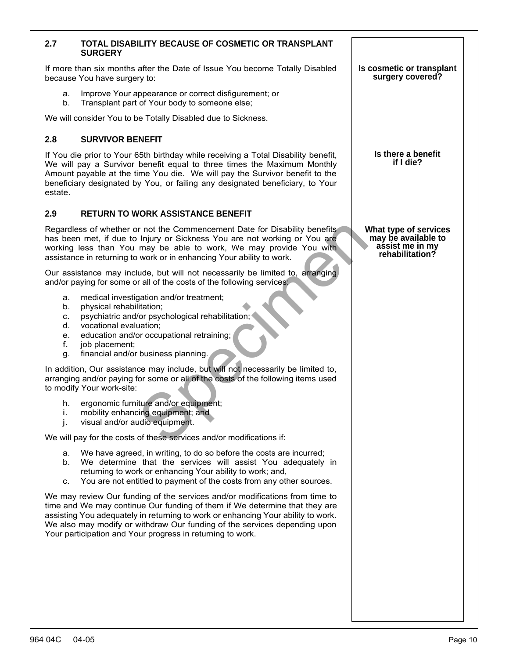| 2.7                                    | TOTAL DISABILITY BECAUSE OF COSMETIC OR TRANSPLANT<br><b>SURGERY</b>                                                                                                                                                                                                                                                                                                                     |                                                                                    |
|----------------------------------------|------------------------------------------------------------------------------------------------------------------------------------------------------------------------------------------------------------------------------------------------------------------------------------------------------------------------------------------------------------------------------------------|------------------------------------------------------------------------------------|
|                                        | If more than six months after the Date of Issue You become Totally Disabled<br>because You have surgery to:                                                                                                                                                                                                                                                                              | Is cosmetic or transplant<br>surgery covered?                                      |
| a.<br>b.                               | Improve Your appearance or correct disfigurement; or<br>Transplant part of Your body to someone else;                                                                                                                                                                                                                                                                                    |                                                                                    |
|                                        | We will consider You to be Totally Disabled due to Sickness.                                                                                                                                                                                                                                                                                                                             |                                                                                    |
| 2.8                                    | <b>SURVIVOR BENEFIT</b>                                                                                                                                                                                                                                                                                                                                                                  |                                                                                    |
| estate.                                | If You die prior to Your 65th birthday while receiving a Total Disability benefit,<br>We will pay a Survivor benefit equal to three times the Maximum Monthly<br>Amount payable at the time You die. We will pay the Survivor benefit to the<br>beneficiary designated by You, or failing any designated beneficiary, to Your                                                            | Is there a benefit<br>if I die?                                                    |
| 2.9                                    | <b>RETURN TO WORK ASSISTANCE BENEFIT</b>                                                                                                                                                                                                                                                                                                                                                 |                                                                                    |
|                                        | Regardless of whether or not the Commencement Date for Disability benefits<br>has been met, if due to Injury or Sickness You are not working or You are<br>working less than You may be able to work, We may provide You with<br>assistance in returning to work or in enhancing Your ability to work.                                                                                   | What type of services<br>may be available to<br>assist me in my<br>rehabilitation? |
|                                        | Our assistance may include, but will not necessarily be limited to, arranging<br>and/or paying for some or all of the costs of the following services:                                                                                                                                                                                                                                   |                                                                                    |
| а.<br>b.<br>С.<br>d.<br>е.<br>f.<br>g. | medical investigation and/or treatment;<br>physical rehabilitation;<br>psychiatric and/or psychological rehabilitation;<br>vocational evaluation;<br>education and/or occupational retraining;<br>job placement;<br>financial and/or business planning.                                                                                                                                  |                                                                                    |
|                                        | In addition, Our assistance may include, but will not necessarily be limited to,<br>arranging and/or paying for some or all of the costs of the following items used<br>to modify Your work-site:                                                                                                                                                                                        |                                                                                    |
| h.<br>i.<br>j.                         | ergonomic furniture and/or equipment;<br>mobility enhancing equipment; and<br>visual and/or audio equipment.                                                                                                                                                                                                                                                                             |                                                                                    |
|                                        | We will pay for the costs of these services and/or modifications if:                                                                                                                                                                                                                                                                                                                     |                                                                                    |
| а.<br>b.<br>c.                         | We have agreed, in writing, to do so before the costs are incurred;<br>We determine that the services will assist You adequately in<br>returning to work or enhancing Your ability to work; and,<br>You are not entitled to payment of the costs from any other sources.                                                                                                                 |                                                                                    |
|                                        | We may review Our funding of the services and/or modifications from time to<br>time and We may continue Our funding of them if We determine that they are<br>assisting You adequately in returning to work or enhancing Your ability to work.<br>We also may modify or withdraw Our funding of the services depending upon<br>Your participation and Your progress in returning to work. |                                                                                    |
|                                        |                                                                                                                                                                                                                                                                                                                                                                                          |                                                                                    |
|                                        |                                                                                                                                                                                                                                                                                                                                                                                          |                                                                                    |
|                                        |                                                                                                                                                                                                                                                                                                                                                                                          |                                                                                    |
|                                        |                                                                                                                                                                                                                                                                                                                                                                                          |                                                                                    |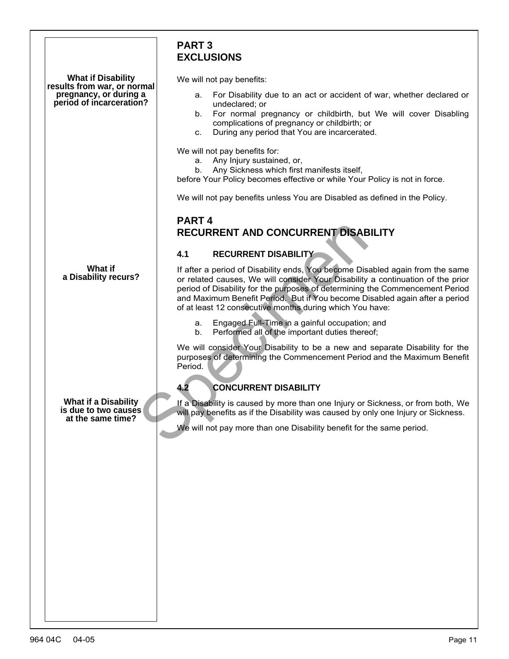<span id="page-9-1"></span><span id="page-9-0"></span>

|                                                                                   | <b>PART 3</b><br><b>EXCLUSIONS</b>                                                                                                                                                                                                                                                                                                                                                          |  |
|-----------------------------------------------------------------------------------|---------------------------------------------------------------------------------------------------------------------------------------------------------------------------------------------------------------------------------------------------------------------------------------------------------------------------------------------------------------------------------------------|--|
| <b>What if Disability</b>                                                         | We will not pay benefits:                                                                                                                                                                                                                                                                                                                                                                   |  |
| results from war, or normal<br>pregnancy, or during a<br>period of incarceration? | For Disability due to an act or accident of war, whether declared or<br>а.<br>undeclared; or<br>For normal pregnancy or childbirth, but We will cover Disabling<br>b.<br>complications of pregnancy or childbirth; or<br>During any period that You are incarcerated.<br>C.                                                                                                                 |  |
|                                                                                   | We will not pay benefits for:<br>Any Injury sustained, or,<br>а.<br>Any Sickness which first manifests itself,<br>b.<br>before Your Policy becomes effective or while Your Policy is not in force.                                                                                                                                                                                          |  |
|                                                                                   | We will not pay benefits unless You are Disabled as defined in the Policy.                                                                                                                                                                                                                                                                                                                  |  |
|                                                                                   | PART <sub>4</sub>                                                                                                                                                                                                                                                                                                                                                                           |  |
| RECURRENT AND CONCURRENT DISABILITY                                               |                                                                                                                                                                                                                                                                                                                                                                                             |  |
|                                                                                   | <b>RECURRENT DISABILITY</b><br>4.1                                                                                                                                                                                                                                                                                                                                                          |  |
| What if<br>a Disability recurs?                                                   | If after a period of Disability ends, You become Disabled again from the same<br>or related causes, We will consider Your Disability a continuation of the prior<br>period of Disability for the purposes of determining the Commencement Period<br>and Maximum Benefit Period. But if You become Disabled again after a period<br>of at least 12 consecutive months during which You have: |  |
|                                                                                   | Engaged Full-Time in a gainful occupation; and<br>а.<br>Performed all of the important duties thereof;<br>b.                                                                                                                                                                                                                                                                                |  |
|                                                                                   | We will consider Your Disability to be a new and separate Disability for the<br>purposes of determining the Commencement Period and the Maximum Benefit<br>Period.                                                                                                                                                                                                                          |  |
|                                                                                   | <b>CONCURRENT DISABILITY</b><br>4.2                                                                                                                                                                                                                                                                                                                                                         |  |
| <b>What if a Disability</b><br>is due to two causes<br>at the same time?          | If a Disability is caused by more than one Injury or Sickness, or from both, We<br>will pay benefits as if the Disability was caused by only one Injury or Sickness.                                                                                                                                                                                                                        |  |
|                                                                                   | We will not pay more than one Disability benefit for the same period.                                                                                                                                                                                                                                                                                                                       |  |
|                                                                                   |                                                                                                                                                                                                                                                                                                                                                                                             |  |
|                                                                                   |                                                                                                                                                                                                                                                                                                                                                                                             |  |
|                                                                                   |                                                                                                                                                                                                                                                                                                                                                                                             |  |
|                                                                                   |                                                                                                                                                                                                                                                                                                                                                                                             |  |
|                                                                                   |                                                                                                                                                                                                                                                                                                                                                                                             |  |
|                                                                                   |                                                                                                                                                                                                                                                                                                                                                                                             |  |
|                                                                                   |                                                                                                                                                                                                                                                                                                                                                                                             |  |
|                                                                                   |                                                                                                                                                                                                                                                                                                                                                                                             |  |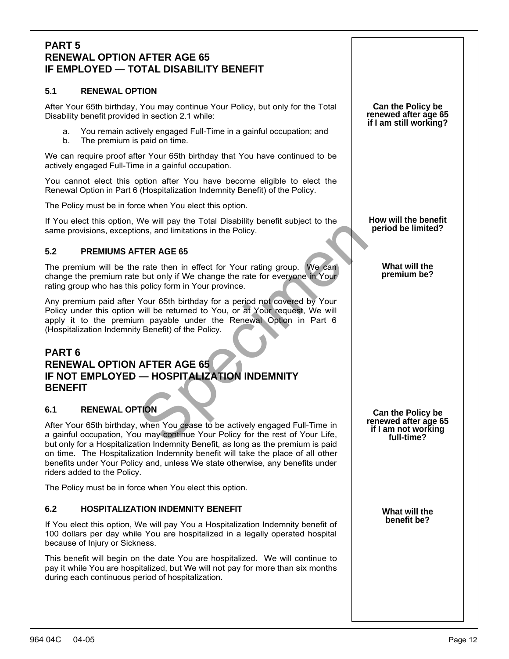## <span id="page-10-0"></span>**PART 5 RENEWAL OPTION AFTER AGE 65 IF EMPLOYED — TOTAL DISABILITY BENEFIT**

### **5.1 RENEWAL OPTION**

After Your 65th birthday, You may continue Your Policy, but only for the Total Disability benefit provided in section 2.1 while:

- a. You remain actively engaged Full-Time in a gainful occupation; and
- b. The premium is paid on time.

We can require proof after Your 65th birthday that You have continued to be actively engaged Full-Time in a gainful occupation.

You cannot elect this option after You have become eligible to elect the Renewal Option in Part 6 (Hospitalization Indemnity Benefit) of the Policy.

The Policy must be in force when You elect this option.

If You elect this option, We will pay the Total Disability benefit subject to the same provisions, exceptions, and limitations in the Policy.

### **5.2 PREMIUMS AFTER AGE 65**

The premium will be the rate then in effect for Your rating group. We can change the premium rate but only if We change the rate for everyone in Your rating group who has this policy form in Your province.

FIER AGE 65<br>
TER AGE 65<br>
TER AGE 65<br>
TER AGE 65<br>
TER AGE 65<br>
TER AGE 65<br>
TER AGE 65<br>
TER AGE 65<br>
Your 65th birthday for a period not covered by Your<br>
will be returned to You, or at Your request, We will<br>
m payable under th Any premium paid after Your 65th birthday for a period not covered by Your Policy under this option will be returned to You, or at Your request, We will apply it to the premium payable under the Renewal Option in Part 6 (Hospitalization Indemnity Benefit) of the Policy.

## <span id="page-10-1"></span>**PART 6 RENEWAL OPTION AFTER AGE 65 IF NOT EMPLOYED — HOSPITALIZATION INDEMNITY BENEFIT**

### **6.1 RENEWAL OPTION**

After Your 65th birthday, when You cease to be actively engaged Full-Time in a gainful occupation, You may continue Your Policy for the rest of Your Life, but only for a Hospitalization Indemnity Benefit, as long as the premium is paid on time. The Hospitalization Indemnity benefit will take the place of all other benefits under Your Policy and, unless We state otherwise, any benefits under riders added to the Policy.

The Policy must be in force when You elect this option.

#### **6.2 HOSPITALIZATION INDEMNITY BENEFIT**

If You elect this option, We will pay You a Hospitalization Indemnity benefit of 100 dollars per day while You are hospitalized in a legally operated hospital because of Injury or Sickness.

This benefit will begin on the date You are hospitalized. We will continue to pay it while You are hospitalized, but We will not pay for more than six months during each continuous period of hospitalization.

**Can the Policy be renewed after age 65 if I am still working?**

**How will the benefit period be limited?**

> **What will the premium be?**

**Can the Policy be renewed after age 65 if I am not working full-time?**

> **What will the benefit be?**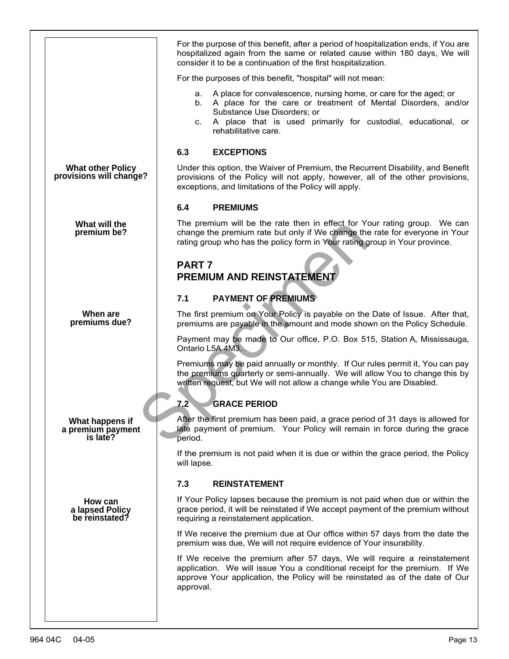<span id="page-11-0"></span>

|                                                       | For the purpose of this benefit, after a period of hospitalization ends, if You are<br>hospitalized again from the same or related cause within 180 days, We will<br>consider it to be a continuation of the first hospitalization.                                          |  |
|-------------------------------------------------------|------------------------------------------------------------------------------------------------------------------------------------------------------------------------------------------------------------------------------------------------------------------------------|--|
|                                                       | For the purposes of this benefit, "hospital" will not mean:                                                                                                                                                                                                                  |  |
|                                                       | A place for convalescence, nursing home, or care for the aged; or<br>а.<br>A place for the care or treatment of Mental Disorders, and/or<br>b.<br>Substance Use Disorders; or<br>A place that is used primarily for custodial, educational, or<br>c.<br>rehabilitative care. |  |
|                                                       | 6.3<br><b>EXCEPTIONS</b>                                                                                                                                                                                                                                                     |  |
| <b>What other Policy</b><br>provisions will change?   | Under this option, the Waiver of Premium, the Recurrent Disability, and Benefit<br>provisions of the Policy will not apply, however, all of the other provisions,<br>exceptions, and limitations of the Policy will apply.                                                   |  |
|                                                       | <b>PREMIUMS</b><br>6.4                                                                                                                                                                                                                                                       |  |
| What will the<br>premium be?                          | The premium will be the rate then in effect for Your rating group. We can<br>change the premium rate but only if We change the rate for everyone in Your<br>rating group who has the policy form in Your rating group in Your province.                                      |  |
| PART <sub>7</sub><br><b>PREMIUM AND REINSTATEMENT</b> |                                                                                                                                                                                                                                                                              |  |
|                                                       | <b>PAYMENT OF PREMIUMS</b><br>7.1                                                                                                                                                                                                                                            |  |
| When are<br>premiums due?                             | The first premium on Your Policy is payable on the Date of Issue. After that,<br>premiums are payable in the amount and mode shown on the Policy Schedule.                                                                                                                   |  |
|                                                       | Payment may be made to Our office, P.O. Box 515, Station A, Mississauga,<br>Ontario L5A 4M3.                                                                                                                                                                                 |  |
|                                                       | Premiums may be paid annually or monthly. If Our rules permit it, You can pay<br>the premiums quarterly or semi-annually. We will allow You to change this by<br>written request, but We will not allow a change while You are Disabled.                                     |  |
|                                                       | <b>GRACE PERIOD</b><br>7.2                                                                                                                                                                                                                                                   |  |
| What happens if<br>a premium payment<br>is late?      | After the first premium has been paid, a grace period of 31 days is allowed for<br>late payment of premium. Your Policy will remain in force during the grace<br>period.                                                                                                     |  |
|                                                       | If the premium is not paid when it is due or within the grace period, the Policy<br>will lapse.                                                                                                                                                                              |  |
|                                                       | 7.3<br><b>REINSTATEMENT</b>                                                                                                                                                                                                                                                  |  |
| How can<br>a lapsed Policy<br>be reinstated?          | If Your Policy lapses because the premium is not paid when due or within the<br>grace period, it will be reinstated if We accept payment of the premium without<br>requiring a reinstatement application.                                                                    |  |
|                                                       | If We receive the premium due at Our office within 57 days from the date the<br>premium was due, We will not require evidence of Your insurability.                                                                                                                          |  |
|                                                       | If We receive the premium after 57 days, We will require a reinstatement<br>application. We will issue You a conditional receipt for the premium. If We<br>approve Your application, the Policy will be reinstated as of the date of Our<br>approval.                        |  |
|                                                       |                                                                                                                                                                                                                                                                              |  |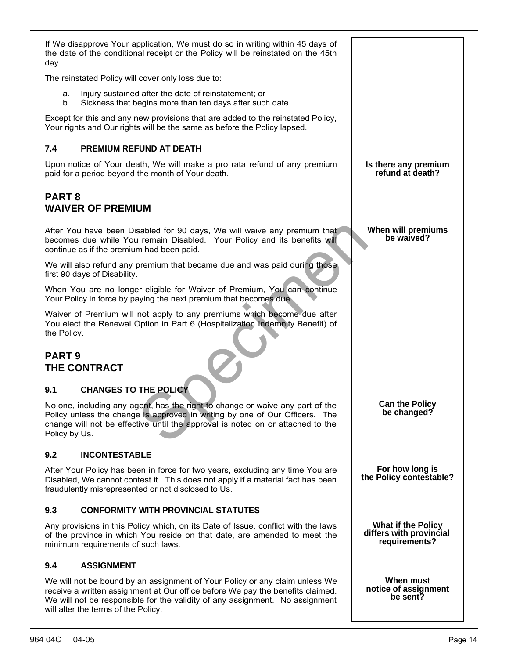<span id="page-12-1"></span><span id="page-12-0"></span>

| If We disapprove Your application, We must do so in writing within 45 days of<br>the date of the conditional receipt or the Policy will be reinstated on the 45th<br>day.                                                                                                            |                                                                |  |
|--------------------------------------------------------------------------------------------------------------------------------------------------------------------------------------------------------------------------------------------------------------------------------------|----------------------------------------------------------------|--|
| The reinstated Policy will cover only loss due to:                                                                                                                                                                                                                                   |                                                                |  |
| Injury sustained after the date of reinstatement; or<br>a.<br>b.<br>Sickness that begins more than ten days after such date.                                                                                                                                                         |                                                                |  |
| Except for this and any new provisions that are added to the reinstated Policy,<br>Your rights and Our rights will be the same as before the Policy lapsed.                                                                                                                          |                                                                |  |
| 7.4<br><b>PREMIUM REFUND AT DEATH</b>                                                                                                                                                                                                                                                |                                                                |  |
| Upon notice of Your death, We will make a pro rata refund of any premium<br>paid for a period beyond the month of Your death.                                                                                                                                                        | Is there any premium<br>refund at death?                       |  |
| <b>PART 8</b><br><b>WAIVER OF PREMIUM</b>                                                                                                                                                                                                                                            |                                                                |  |
| After You have been Disabled for 90 days, We will waive any premium that<br>becomes due while You remain Disabled. Your Policy and its benefits will<br>continue as if the premium had been paid.                                                                                    | When will premiums<br>be waived?                               |  |
| We will also refund any premium that became due and was paid during those.<br>first 90 days of Disability.                                                                                                                                                                           |                                                                |  |
| When You are no longer eligible for Waiver of Premium, You can continue<br>Your Policy in force by paying the next premium that becomes due.                                                                                                                                         |                                                                |  |
| Waiver of Premium will not apply to any premiums which become due after<br>You elect the Renewal Option in Part 6 (Hospitalization Indemnity Benefit) of<br>the Policy.                                                                                                              |                                                                |  |
| <b>PART 9</b><br>THE CONTRACT                                                                                                                                                                                                                                                        |                                                                |  |
| <b>CHANGES TO THE POLICY</b><br>9.1                                                                                                                                                                                                                                                  |                                                                |  |
| No one, including any agent, has the right to change or waive any part of the<br>Policy unless the change is approved in writing by one of Our Officers. The<br>change will not be effective until the approval is noted on or attached to the<br>Policy by Us.                      | <b>Can the Policy</b><br>be changed?                           |  |
| 9.2<br><b>INCONTESTABLE</b>                                                                                                                                                                                                                                                          |                                                                |  |
| After Your Policy has been in force for two years, excluding any time You are<br>Disabled, We cannot contest it. This does not apply if a material fact has been<br>fraudulently misrepresented or not disclosed to Us.                                                              | For how long is<br>the Policy contestable?                     |  |
| 9.3<br><b>CONFORMITY WITH PROVINCIAL STATUTES</b>                                                                                                                                                                                                                                    |                                                                |  |
| Any provisions in this Policy which, on its Date of Issue, conflict with the laws<br>of the province in which You reside on that date, are amended to meet the<br>minimum requirements of such laws.                                                                                 | What if the Policy<br>differs with provincial<br>requirements? |  |
| <b>ASSIGNMENT</b><br>9.4                                                                                                                                                                                                                                                             |                                                                |  |
| We will not be bound by an assignment of Your Policy or any claim unless We<br>receive a written assignment at Our office before We pay the benefits claimed.<br>We will not be responsible for the validity of any assignment. No assignment<br>will alter the terms of the Policy. | When must<br>notice of assignment<br>be sent?                  |  |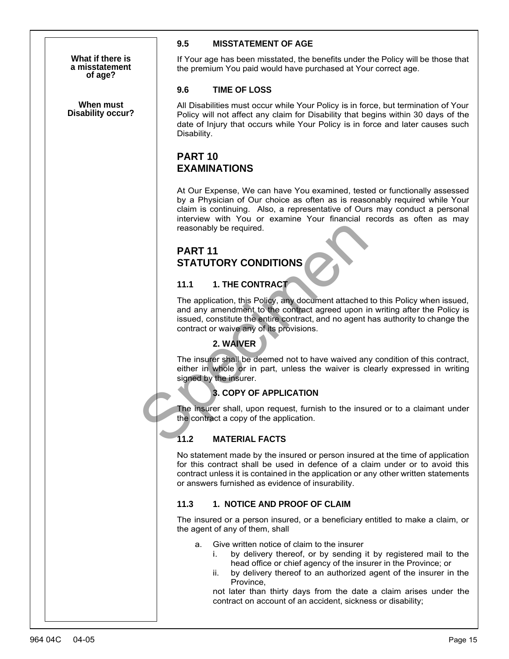**What if there is a misstatement of age?**

**Disability occur? When must**

### **9.5 MISSTATEMENT OF AGE**

If Your age has been misstated, the benefits under the Policy will be those that the premium You paid would have purchased at Your correct age.

### **9.6 TIME OF LOSS**

All Disabilities must occur while Your Policy is in force, but termination of Your Policy will not affect any claim for Disability that begins within 30 days of the date of Injury that occurs while Your Policy is in force and later causes such Disability.

# <span id="page-13-0"></span>**PART 10 EXAMINATIONS**

At Our Expense, We can have You examined, tested or functionally assessed by a Physician of Our choice as often as is reasonably required while Your claim is continuing. Also, a representative of Ours may conduct a personal interview with You or examine Your financial records as often as may reasonably be required.

# **PART 11 STATUTORY CONDITIONS**

### **11.1 1. THE CONTRACT**

reasonably be required.<br>
PART 11<br>
STATUTORY CONDITIONS<br>
11.1 1. THE CONTRACT<br>
The application, this Policy, any document attached<br>
and any amendment to the contract agred upon is<br>
issued, constitute the entire contract, an The application, this Policy, any document attached to this Policy when issued, and any amendment to the contract agreed upon in writing after the Policy is issued, constitute the entire contract, and no agent has authority to change the contract or waive any of its provisions.

## <span id="page-13-1"></span>**2. WAIVER**

The insurer shall be deemed not to have waived any condition of this contract, either in whole or in part, unless the waiver is clearly expressed in writing signed by the insurer.

### **3. COPY OF APPLICATION**

The insurer shall, upon request, furnish to the insured or to a claimant under the contract a copy of the application.

## **11.2 MATERIAL FACTS**

No statement made by the insured or person insured at the time of application for this contract shall be used in defence of a claim under or to avoid this contract unless it is contained in the application or any other written statements or answers furnished as evidence of insurability.

#### **11.3 1. NOTICE AND PROOF OF CLAIM**

The insured or a person insured, or a beneficiary entitled to make a claim, or the agent of any of them, shall

- a. Give written notice of claim to the insurer
	- i. by delivery thereof, or by sending it by registered mail to the head office or chief agency of the insurer in the Province; or
	- ii. by delivery thereof to an authorized agent of the insurer in the Province,

not later than thirty days from the date a claim arises under the contract on account of an accident, sickness or disability;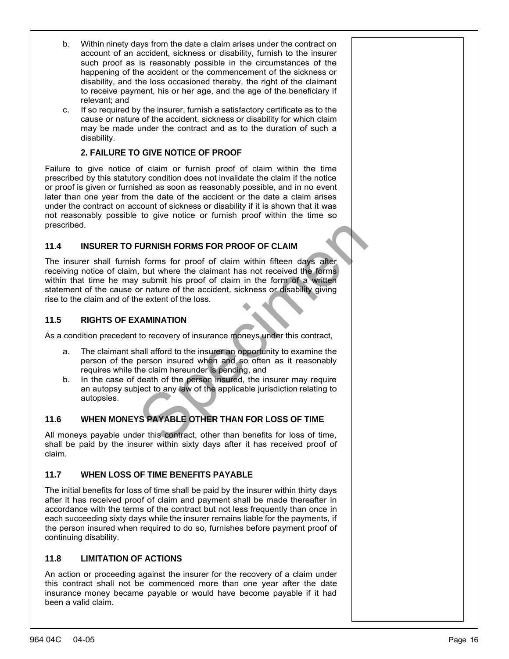- b. Within ninety days from the date a claim arises under the contract on account of an accident, sickness or disability, furnish to the insurer such proof as is reasonably possible in the circumstances of the happening of the accident or the commencement of the sickness or disability, and the loss occasioned thereby, the right of the claimant to receive payment, his or her age, and the age of the beneficiary if relevant; and
- c. If so required by the insurer, furnish a satisfactory certificate as to the cause or nature of the accident, sickness or disability for which claim may be made under the contract and as to the duration of such a disability.

### **2. FAILURE TO GIVE NOTICE OF PROOF**

Failure to give notice of claim or furnish proof of claim within the time prescribed by this statutory condition does not invalidate the claim if the notice or proof is given or furnished as soon as reasonably possible, and in no event later than one year from the date of the accident or the date a claim arises under the contract on account of sickness or disability if it is shown that it was not reasonably possible to give notice or furnish proof within the time so prescribed.

### **11.4 INSURER TO FURNISH FORMS FOR PROOF OF CLAIM**

FURNISH FORMS FOR PROOF OF CLAIM<br>
to forms for proof of claim within fifteen days after<br>
the twhere the claimant has not received the forms<br>
to submit his proof of claim in the form of a written<br>
or nature of the loss.<br> **C** The insurer shall furnish forms for proof of claim within fifteen days after receiving notice of claim, but where the claimant has not received the forms within that time he may submit his proof of claim in the form of a written statement of the cause or nature of the accident, sickness or disability giving rise to the claim and of the extent of the loss.

### **11.5 RIGHTS OF EXAMINATION**

As a condition precedent to recovery of insurance moneys under this contract,

- a. The claimant shall afford to the insurer an opportunity to examine the person of the person insured when and so often as it reasonably requires while the claim hereunder is pending, and
- b. In the case of death of the person insured, the insurer may require an autopsy subject to any law of the applicable jurisdiction relating to autopsies.

## **11.6 WHEN MONEYS PAYABLE OTHER THAN FOR LOSS OF TIME**

All moneys payable under this contract, other than benefits for loss of time, shall be paid by the insurer within sixty days after it has received proof of claim.

### **11.7 WHEN LOSS OF TIME BENEFITS PAYABLE**

The initial benefits for loss of time shall be paid by the insurer within thirty days after it has received proof of claim and payment shall be made thereafter in accordance with the terms of the contract but not less frequently than once in each succeeding sixty days while the insurer remains liable for the payments, if the person insured when required to do so, furnishes before payment proof of continuing disability.

### **11.8 LIMITATION OF ACTIONS**

An action or proceeding against the insurer for the recovery of a claim under this contract shall not be commenced more than one year after the date insurance money became payable or would have become payable if it had been a valid claim.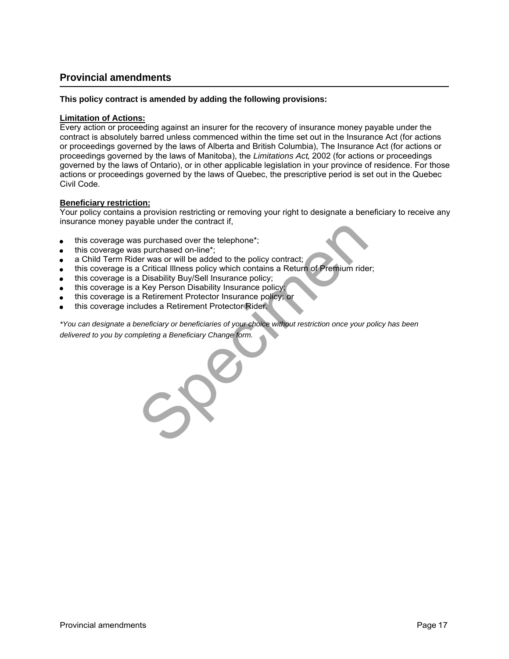## <span id="page-15-0"></span>**Provincial amendments**

#### **This policy contract is amended by adding the following provisions:**

#### **Limitation of Actions:**

Every action or proceeding against an insurer for the recovery of insurance money payable under the contract is absolutely barred unless commenced within the time set out in the Insurance Act (for actions or proceedings governed by the laws of Alberta and British Columbia), The Insurance Act (for actions or proceedings governed by the laws of Manitoba), the Limitations Act, 2002 (for actions or proceedings governed by the laws of Ontario), or in other applicable legislation in your province of residence. For those actions or proceedings governed by the laws of Quebec, the prescriptive period is set out in the Quebec Civil Code.

#### **Beneficiary restriction:**

Your policy contains a provision restricting or removing your right to designate a beneficiary to receive any insurance money payable under the contract if,

- this coverage was purchased over the telephone\*;
- this coverage was purchased on-line\*;
- a Child Term Rider was or will be added to the policy contract;
- this coverage is a Critical Illness policy which contains a Return of Premium rider;
- this coverage is a Disability Buy/Sell Insurance policy;
- this coverage is a Key Person Disability Insurance policy;
- this coverage is a Retirement Protector Insurance policy; or
- this coverage includes a Retirement Protector Rider.

problem under the collision,<br>
spurchased on-line\*;<br>
spurchased on-line\*;<br>
a Critical Illness policy which contains a Return of Premium ride<br>
a Disability Buy/Sell Insurance policy;<br>
a Key Person Disability Insurance policy \*You can designate a beneficiary or beneficiaries of your choice without restriction once your policy has been delivered to you by completing a Beneficiary Change form.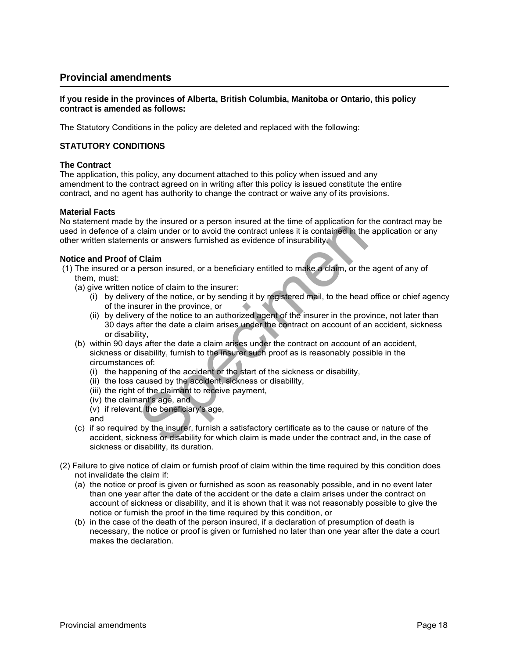### **Provincial amendments**

#### **If you reside in the provinces of Alberta, British Columbia, Manitoba or Ontario, this policy contract is amended as follows:**

The Statutory Conditions in the policy are deleted and replaced with the following:

#### **STATUTORY CONDITIONS**

#### **The Contract**

The application, this policy, any document attached to this policy when issued and any amendment to the contract agreed on in writing after this policy is issued constitute the entire contract, and no agent has authority to change the contract or waive any of its provisions.

#### **Material Facts**

No statement made by the insured or a person insured at the time of application for the contract may be used in defence of a claim under or to avoid the contract unless it is contained in the application or any other written statements or answers furnished as evidence of insurability.

#### **Notice and Proof of Claim**

- (1) The insured or a person insured, or a beneficiary entitled to make a claim, or the agent of any of them, must:
	- (a) give written notice of claim to the insurer:
		- (i) by delivery of the notice, or by sending it by registered mail, to the head office or chief agency of the insurer in the province, or
		- (ii) by delivery of the notice to an authorized agent of the insurer in the province, not later than 30 days after the date a claim arises under the contract on account of an accident, sickness or disability,
- by the massive of a person massive at the three of approach of the contract unless it is contained in the column under or to avoid the contract unless it is contained in the mist or answers furnished as evidence of insurab (b) within 90 days after the date a claim arises under the contract on account of an accident, sickness or disability, furnish to the insurer such proof as is reasonably possible in the circumstances of:
	- (i) the happening of the accident or the start of the sickness or disability,
	- (ii) the loss caused by the accident, sickness or disability,
	- (iii) the right of the claimant to receive payment,
	- (iv) the claimant's age, and
	- (v) if relevant, the beneficiary's age,
	- and
	- (c) if so required by the insurer, furnish a satisfactory certificate as to the cause or nature of the accident, sickness or disability for which claim is made under the contract and, in the case of sickness or disability, its duration.
- (2) Failure to give notice of claim or furnish proof of claim within the time required by this condition does not invalidate the claim if:
	- (a) the notice or proof is given or furnished as soon as reasonably possible, and in no event later than one year after the date of the accident or the date a claim arises under the contract on account of sickness or disability, and it is shown that it was not reasonably possible to give the notice or furnish the proof in the time required by this condition, or
	- (b) in the case of the death of the person insured, if a declaration of presumption of death is necessary, the notice or proof is given or furnished no later than one year after the date a court makes the declaration.